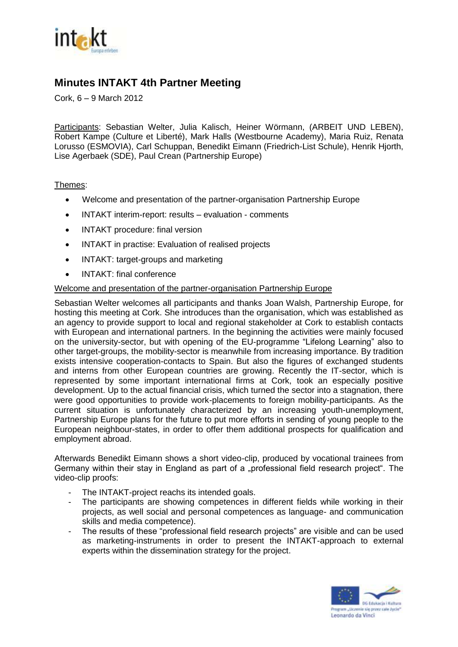

# **Minutes INTAKT 4th Partner Meeting**

Cork, 6 – 9 March 2012

Participants: Sebastian Welter, Julia Kalisch, Heiner Wörmann, (ARBEIT UND LEBEN), Robert Kampe (Culture et Liberté), Mark Halls (Westbourne Academy), Maria Ruiz, Renata Lorusso (ESMOVIA), Carl Schuppan, Benedikt Eimann (Friedrich-List Schule), Henrik Hjorth, Lise Agerbaek (SDE), Paul Crean (Partnership Europe)

## Themes:

- Welcome and presentation of the partner-organisation Partnership Europe
- INTAKT interim-report: results evaluation comments
- INTAKT procedure: final version
- INTAKT in practise: Evaluation of realised projects
- INTAKT: target-groups and marketing
- INTAKT: final conference

### Welcome and presentation of the partner-organisation Partnership Europe

Sebastian Welter welcomes all participants and thanks Joan Walsh, Partnership Europe, for hosting this meeting at Cork. She introduces than the organisation, which was established as an agency to provide support to local and regional stakeholder at Cork to establish contacts with European and international partners. In the beginning the activities were mainly focused on the university-sector, but with opening of the EU-programme "Lifelong Learning" also to other target-groups, the mobility-sector is meanwhile from increasing importance. By tradition exists intensive cooperation-contacts to Spain. But also the figures of exchanged students and interns from other European countries are growing. Recently the IT-sector, which is represented by some important international firms at Cork, took an especially positive development. Up to the actual financial crisis, which turned the sector into a stagnation, there were good opportunities to provide work-placements to foreign mobility-participants. As the current situation is unfortunately characterized by an increasing youth-unemployment, Partnership Europe plans for the future to put more efforts in sending of young people to the European neighbour-states, in order to offer them additional prospects for qualification and employment abroad.

Afterwards Benedikt Eimann shows a short video-clip, produced by vocational trainees from Germany within their stay in England as part of a "professional field research project". The video-clip proofs:

- The INTAKT-project reachs its intended goals.
- The participants are showing competences in different fields while working in their projects, as well social and personal competences as language- and communication skills and media competence).
- The results of these "professional field research projects" are visible and can be used as marketing-instruments in order to present the INTAKT-approach to external experts within the dissemination strategy for the project.

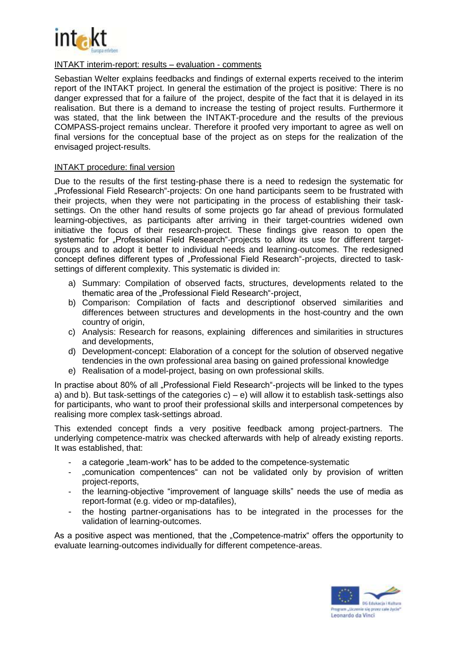

### INTAKT interim-report: results – evaluation - comments

Sebastian Welter explains feedbacks and findings of external experts received to the interim report of the INTAKT project. In general the estimation of the project is positive: There is no danger expressed that for a failure of the project, despite of the fact that it is delayed in its realisation. But there is a demand to increase the testing of project results. Furthermore it was stated, that the link between the INTAKT-procedure and the results of the previous COMPASS-project remains unclear. Therefore it proofed very important to agree as well on final versions for the conceptual base of the project as on steps for the realization of the envisaged project-results.

### INTAKT procedure: final version

Due to the results of the first testing-phase there is a need to redesign the systematic for "Professional Field Research"-projects: On one hand participants seem to be frustrated with their projects, when they were not participating in the process of establishing their tasksettings. On the other hand results of some projects go far ahead of previous formulated learning-objectives, as participants after arriving in their target-countries widened own initiative the focus of their research-project. These findings give reason to open the systematic for ..Professional Field Research"-projects to allow its use for different targetgroups and to adopt it better to individual needs and learning-outcomes. The redesigned concept defines different types of "Professional Field Research"-projects, directed to tasksettings of different complexity. This systematic is divided in:

- a) Summary: Compilation of observed facts, structures, developments related to the thematic area of the "Professional Field Research"-project,
- b) Comparison: Compilation of facts and descriptionof observed similarities and differences between structures and developments in the host-country and the own country of origin.
- c) Analysis: Research for reasons, explaining differences and similarities in structures and developments,
- d) Development-concept: Elaboration of a concept for the solution of observed negative tendencies in the own professional area basing on gained professional knowledge
- e) Realisation of a model-project, basing on own professional skills.

In practise about 80% of all "Professional Field Research"-projects will be linked to the types a) and b). But task-settings of the categories c) – e) will allow it to establish task-settings also for participants, who want to proof their professional skills and interpersonal competences by realising more complex task-settings abroad.

This extended concept finds a very positive feedback among project-partners. The underlying competence-matrix was checked afterwards with help of already existing reports. It was established, that:

- a categorie "team-work" has to be added to the competence-systematic
- "comunication compentences" can not be validated only by provision of written project-reports,
- the learning-objective "improvement of language skills" needs the use of media as report-format (e.g. video or mp-datafiles),
- the hosting partner-organisations has to be integrated in the processes for the validation of learning-outcomes.

As a positive aspect was mentioned, that the "Competence-matrix" offers the opportunity to evaluate learning-outcomes individually for different competence-areas.

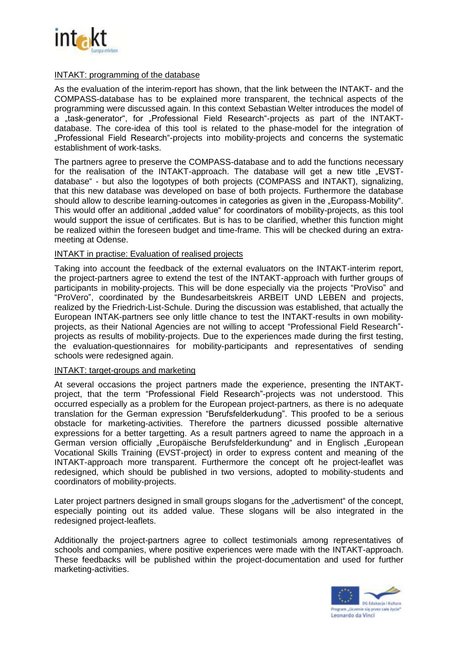

### INTAKT: programming of the database

As the evaluation of the interim-report has shown, that the link between the INTAKT- and the COMPASS-database has to be explained more transparent, the technical aspects of the programming were discussed again. In this context Sebastian Welter introduces the model of a .task-generator", for .Professional Field Research -projects as part of the INTAKTdatabase. The core-idea of this tool is related to the phase-model for the integration of "Professional Field Research"-projects into mobility-projects and concerns the systematic establishment of work-tasks.

The partners agree to preserve the COMPASS-database and to add the functions necessary for the realisation of the INTAKT-approach. The database will get a new title "EVSTdatabase" - but also the logotypes of both projects (COMPASS and INTAKT), signalizing, that this new database was developed on base of both projects. Furthermore the database should allow to describe learning-outcomes in categories as given in the "Europass-Mobility". This would offer an additional "added value" for coordinators of mobility-projects, as this tool would support the issue of certificates. But is has to be clarified, whether this function might be realized within the foreseen budget and time-frame. This will be checked during an extrameeting at Odense.

### INTAKT in practise: Evaluation of realised projects

Taking into account the feedback of the external evaluators on the INTAKT-interim report, the project-partners agree to extend the test of the INTAKT-approach with further groups of participants in mobility-projects. This will be done especially via the projects "ProViso" and "ProVero", coordinated by the Bundesarbeitskreis ARBEIT UND LEBEN and projects, realized by the Friedrich-List-Schule. During the discussion was established, that actually the European INTAK-partners see only little chance to test the INTAKT-results in own mobilityprojects, as their National Agencies are not willing to accept "Professional Field Research" projects as results of mobility-projects. Due to the experiences made during the first testing, the evaluation-questionnaires for mobility-participants and representatives of sending schools were redesigned again.

#### INTAKT: target-groups and marketing

At several occasions the project partners made the experience, presenting the INTAKTproject, that the term "Professional Field Research"-projects was not understood. This occurred especially as a problem for the European project-partners, as there is no adequate translation for the German expression "Berufsfelderkudung". This proofed to be a serious obstacle for marketing-activities. Therefore the partners dicussed possible alternative expressions for a better targetting. As a result partners agreed to name the approach in a German version officially "Europäische Berufsfelderkundung" and in Englisch "European Vocational Skills Training (EVST-project) in order to express content and meaning of the INTAKT-approach more transparent. Furthermore the concept oft he project-leaflet was redesigned, which should be published in two versions, adopted to mobility-students and coordinators of mobility-projects.

Later project partners designed in small groups slogans for the "advertisment" of the concept, especially pointing out its added value. These slogans will be also integrated in the redesigned project-leaflets.

Additionally the project-partners agree to collect testimonials among representatives of schools and companies, where positive experiences were made with the INTAKT-approach. These feedbacks will be published within the project-documentation and used for further marketing-activities.